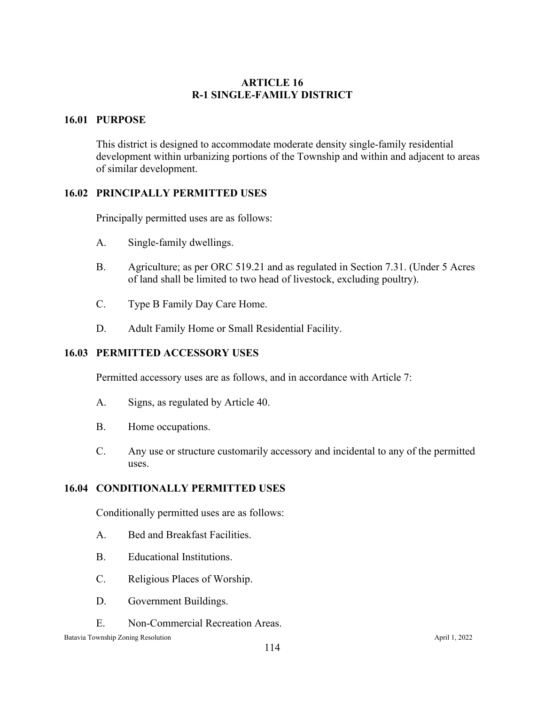# **ARTICLE 16 R-1 SINGLE-FAMILY DISTRICT**

# **16.01 PURPOSE**

This district is designed to accommodate moderate density single-family residential development within urbanizing portions of the Township and within and adjacent to areas of similar development.

# **16.02 PRINCIPALLY PERMITTED USES**

Principally permitted uses are as follows:

- A. Single-family dwellings.
- B. Agriculture; as per ORC 519.21 and as regulated in Section 7.31. (Under 5 Acres of land shall be limited to two head of livestock, excluding poultry).
- C. Type B Family Day Care Home.
- D. Adult Family Home or Small Residential Facility.

## **16.03 PERMITTED ACCESSORY USES**

Permitted accessory uses are as follows, and in accordance with Article 7:

- A. Signs, as regulated by Article 40.
- B. Home occupations.
- C. Any use or structure customarily accessory and incidental to any of the permitted uses.

## **16.04 CONDITIONALLY PERMITTED USES**

Conditionally permitted uses are as follows:

- A. Bed and Breakfast Facilities.
- B. Educational Institutions.
- C. Religious Places of Worship.
- D. Government Buildings.
- E. Non-Commercial Recreation Areas.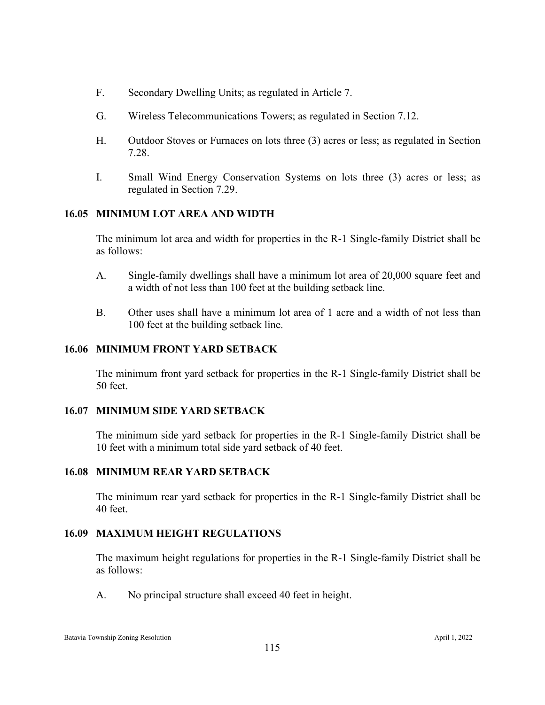- F. Secondary Dwelling Units; as regulated in Article 7.
- G. Wireless Telecommunications Towers; as regulated in Section 7.12.
- H. Outdoor Stoves or Furnaces on lots three (3) acres or less; as regulated in Section 7.28.
- I. Small Wind Energy Conservation Systems on lots three (3) acres or less; as regulated in Section 7.29.

## **16.05 MINIMUM LOT AREA AND WIDTH**

The minimum lot area and width for properties in the R-1 Single-family District shall be as follows:

- A. Single-family dwellings shall have a minimum lot area of 20,000 square feet and a width of not less than 100 feet at the building setback line.
- B. Other uses shall have a minimum lot area of 1 acre and a width of not less than 100 feet at the building setback line.

#### **16.06 MINIMUM FRONT YARD SETBACK**

The minimum front yard setback for properties in the R-1 Single-family District shall be 50 feet.

## **16.07 MINIMUM SIDE YARD SETBACK**

The minimum side yard setback for properties in the R-1 Single-family District shall be 10 feet with a minimum total side yard setback of 40 feet.

# **16.08 MINIMUM REAR YARD SETBACK**

The minimum rear yard setback for properties in the R-1 Single-family District shall be 40 feet.

## **16.09 MAXIMUM HEIGHT REGULATIONS**

The maximum height regulations for properties in the R-1 Single-family District shall be as follows:

A. No principal structure shall exceed 40 feet in height.